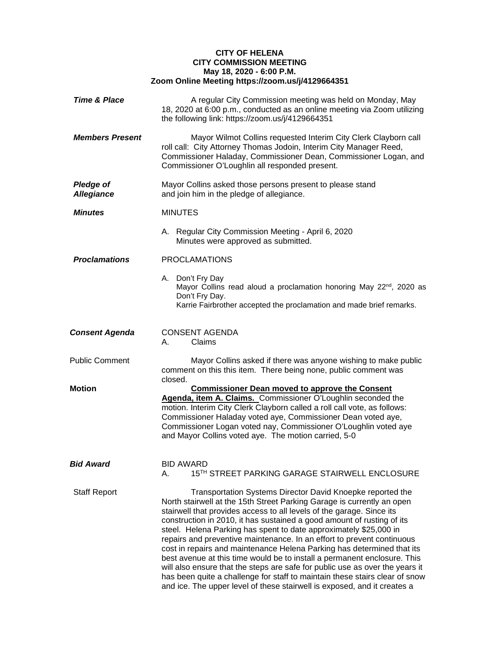## **CITY OF HELENA CITY COMMISSION MEETING May 18, 2020 - 6:00 P.M. Zoom Online Meeting https://zoom.us/j/4129664351**

| <b>Time &amp; Place</b>               | A regular City Commission meeting was held on Monday, May<br>18, 2020 at 6:00 p.m., conducted as an online meeting via Zoom utilizing<br>the following link: https://zoom.us/j/4129664351                                                                                                                                                                                                                                                                                                                                                                                                                                                                                                                                                                                                                                               |
|---------------------------------------|-----------------------------------------------------------------------------------------------------------------------------------------------------------------------------------------------------------------------------------------------------------------------------------------------------------------------------------------------------------------------------------------------------------------------------------------------------------------------------------------------------------------------------------------------------------------------------------------------------------------------------------------------------------------------------------------------------------------------------------------------------------------------------------------------------------------------------------------|
| <b>Members Present</b>                | Mayor Wilmot Collins requested Interim City Clerk Clayborn call<br>roll call: City Attorney Thomas Jodoin, Interim City Manager Reed,<br>Commissioner Haladay, Commissioner Dean, Commissioner Logan, and<br>Commissioner O'Loughlin all responded present.                                                                                                                                                                                                                                                                                                                                                                                                                                                                                                                                                                             |
| <b>Pledge of</b><br><b>Allegiance</b> | Mayor Collins asked those persons present to please stand<br>and join him in the pledge of allegiance.                                                                                                                                                                                                                                                                                                                                                                                                                                                                                                                                                                                                                                                                                                                                  |
| <b>Minutes</b>                        | <b>MINUTES</b>                                                                                                                                                                                                                                                                                                                                                                                                                                                                                                                                                                                                                                                                                                                                                                                                                          |
|                                       | A. Regular City Commission Meeting - April 6, 2020<br>Minutes were approved as submitted.                                                                                                                                                                                                                                                                                                                                                                                                                                                                                                                                                                                                                                                                                                                                               |
| <b>Proclamations</b>                  | <b>PROCLAMATIONS</b>                                                                                                                                                                                                                                                                                                                                                                                                                                                                                                                                                                                                                                                                                                                                                                                                                    |
|                                       | A. Don't Fry Day<br>Mayor Collins read aloud a proclamation honoring May 22 <sup>nd</sup> , 2020 as<br>Don't Fry Day.<br>Karrie Fairbrother accepted the proclamation and made brief remarks.                                                                                                                                                                                                                                                                                                                                                                                                                                                                                                                                                                                                                                           |
| <b>Consent Agenda</b>                 | <b>CONSENT AGENDA</b><br>Claims<br>А.                                                                                                                                                                                                                                                                                                                                                                                                                                                                                                                                                                                                                                                                                                                                                                                                   |
| <b>Public Comment</b>                 | Mayor Collins asked if there was anyone wishing to make public<br>comment on this this item. There being none, public comment was<br>closed.                                                                                                                                                                                                                                                                                                                                                                                                                                                                                                                                                                                                                                                                                            |
| Motion                                | <b>Commissioner Dean moved to approve the Consent</b><br>Agenda, item A. Claims. Commissioner O'Loughlin seconded the<br>motion. Interim City Clerk Clayborn called a roll call vote, as follows:<br>Commissioner Haladay voted aye, Commissioner Dean voted aye,<br>Commissioner Logan voted nay, Commissioner O'Loughlin voted aye<br>and Mayor Collins voted aye. The motion carried, 5-0                                                                                                                                                                                                                                                                                                                                                                                                                                            |
| <b>Bid Award</b>                      | <b>BID AWARD</b><br>15TH STREET PARKING GARAGE STAIRWELL ENCLOSURE<br>А.                                                                                                                                                                                                                                                                                                                                                                                                                                                                                                                                                                                                                                                                                                                                                                |
| <b>Staff Report</b>                   | Transportation Systems Director David Knoepke reported the<br>North stairwell at the 15th Street Parking Garage is currently an open<br>stairwell that provides access to all levels of the garage. Since its<br>construction in 2010, it has sustained a good amount of rusting of its<br>steel. Helena Parking has spent to date approximately \$25,000 in<br>repairs and preventive maintenance. In an effort to prevent continuous<br>cost in repairs and maintenance Helena Parking has determined that its<br>best avenue at this time would be to install a permanent enclosure. This<br>will also ensure that the steps are safe for public use as over the years it<br>has been quite a challenge for staff to maintain these stairs clear of snow<br>and ice. The upper level of these stairwell is exposed, and it creates a |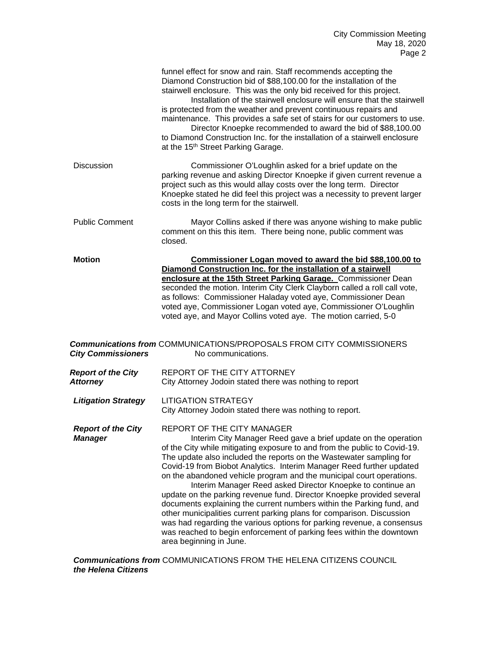|                                              | funnel effect for snow and rain. Staff recommends accepting the<br>Diamond Construction bid of \$88,100.00 for the installation of the<br>stairwell enclosure. This was the only bid received for this project.<br>Installation of the stairwell enclosure will ensure that the stairwell<br>is protected from the weather and prevent continuous repairs and<br>maintenance. This provides a safe set of stairs for our customers to use.<br>Director Knoepke recommended to award the bid of \$88,100.00<br>to Diamond Construction Inc. for the installation of a stairwell enclosure<br>at the 15 <sup>th</sup> Street Parking Garage.                                                                                                                                                                                                                             |
|----------------------------------------------|------------------------------------------------------------------------------------------------------------------------------------------------------------------------------------------------------------------------------------------------------------------------------------------------------------------------------------------------------------------------------------------------------------------------------------------------------------------------------------------------------------------------------------------------------------------------------------------------------------------------------------------------------------------------------------------------------------------------------------------------------------------------------------------------------------------------------------------------------------------------|
| <b>Discussion</b>                            | Commissioner O'Loughlin asked for a brief update on the<br>parking revenue and asking Director Knoepke if given current revenue a<br>project such as this would allay costs over the long term. Director<br>Knoepke stated he did feel this project was a necessity to prevent larger<br>costs in the long term for the stairwell.                                                                                                                                                                                                                                                                                                                                                                                                                                                                                                                                     |
| <b>Public Comment</b>                        | Mayor Collins asked if there was anyone wishing to make public<br>comment on this this item. There being none, public comment was<br>closed.                                                                                                                                                                                                                                                                                                                                                                                                                                                                                                                                                                                                                                                                                                                           |
| <b>Motion</b><br><b>City Commissioners</b>   | Commissioner Logan moved to award the bid \$88,100.00 to<br>Diamond Construction Inc. for the installation of a stairwell<br>enclosure at the 15th Street Parking Garage. Commissioner Dean<br>seconded the motion. Interim City Clerk Clayborn called a roll call vote,<br>as follows: Commissioner Haladay voted aye, Commissioner Dean<br>voted aye, Commissioner Logan voted aye, Commissioner O'Loughlin<br>voted aye, and Mayor Collins voted aye. The motion carried, 5-0<br><b>Communications from COMMUNICATIONS/PROPOSALS FROM CITY COMMISSIONERS</b><br>No communications.                                                                                                                                                                                                                                                                                  |
| <b>Report of the City</b><br><b>Attorney</b> | REPORT OF THE CITY ATTORNEY<br>City Attorney Jodoin stated there was nothing to report                                                                                                                                                                                                                                                                                                                                                                                                                                                                                                                                                                                                                                                                                                                                                                                 |
| <b>Litigation Strategy</b>                   | <b>LITIGATION STRATEGY</b><br>City Attorney Jodoin stated there was nothing to report.                                                                                                                                                                                                                                                                                                                                                                                                                                                                                                                                                                                                                                                                                                                                                                                 |
| <b>Report of the City</b><br><b>Manager</b>  | REPORT OF THE CITY MANAGER<br>Interim City Manager Reed gave a brief update on the operation<br>of the City while mitigating exposure to and from the public to Covid-19.<br>The update also included the reports on the Wastewater sampling for<br>Covid-19 from Biobot Analytics. Interim Manager Reed further updated<br>on the abandoned vehicle program and the municipal court operations.<br>Interim Manager Reed asked Director Knoepke to continue an<br>update on the parking revenue fund. Director Knoepke provided several<br>documents explaining the current numbers within the Parking fund, and<br>other municipalities current parking plans for comparison. Discussion<br>was had regarding the various options for parking revenue, a consensus<br>was reached to begin enforcement of parking fees within the downtown<br>area beginning in June. |

*Communications from* COMMUNICATIONS FROM THE HELENA CITIZENS COUNCIL *the Helena Citizens*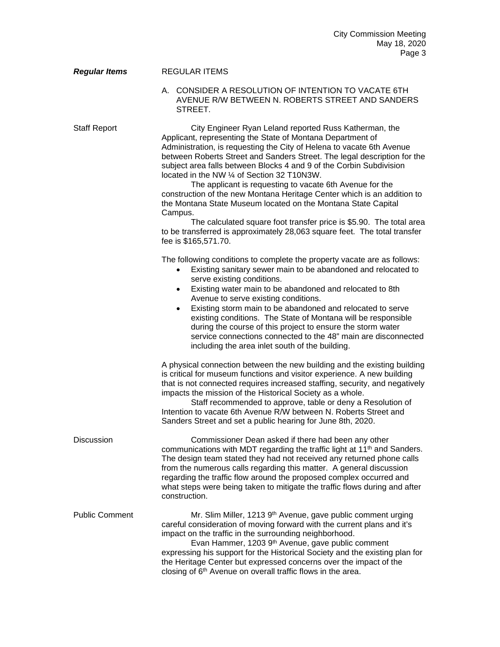| <b>Regular Items</b>  | <b>REGULAR ITEMS</b>                                                                                                                                                                                                                                                                                                                                                                                                                                                                                                                                                                                                                                                                                                                                                                           |
|-----------------------|------------------------------------------------------------------------------------------------------------------------------------------------------------------------------------------------------------------------------------------------------------------------------------------------------------------------------------------------------------------------------------------------------------------------------------------------------------------------------------------------------------------------------------------------------------------------------------------------------------------------------------------------------------------------------------------------------------------------------------------------------------------------------------------------|
|                       | A. CONSIDER A RESOLUTION OF INTENTION TO VACATE 6TH<br>AVENUE R/W BETWEEN N. ROBERTS STREET AND SANDERS<br>STREET.                                                                                                                                                                                                                                                                                                                                                                                                                                                                                                                                                                                                                                                                             |
| <b>Staff Report</b>   | City Engineer Ryan Leland reported Russ Katherman, the<br>Applicant, representing the State of Montana Department of<br>Administration, is requesting the City of Helena to vacate 6th Avenue<br>between Roberts Street and Sanders Street. The legal description for the<br>subject area falls between Blocks 4 and 9 of the Corbin Subdivision<br>located in the NW 1/4 of Section 32 T10N3W.<br>The applicant is requesting to vacate 6th Avenue for the<br>construction of the new Montana Heritage Center which is an addition to<br>the Montana State Museum located on the Montana State Capital<br>Campus.<br>The calculated square foot transfer price is \$5.90. The total area<br>to be transferred is approximately 28,063 square feet. The total transfer<br>fee is \$165,571.70. |
|                       | The following conditions to complete the property vacate are as follows:<br>Existing sanitary sewer main to be abandoned and relocated to<br>serve existing conditions.<br>Existing water main to be abandoned and relocated to 8th<br>٠<br>Avenue to serve existing conditions.<br>Existing storm main to be abandoned and relocated to serve<br>existing conditions. The State of Montana will be responsible<br>during the course of this project to ensure the storm water<br>service connections connected to the 48" main are disconnected<br>including the area inlet south of the building.                                                                                                                                                                                            |
|                       | A physical connection between the new building and the existing building<br>is critical for museum functions and visitor experience. A new building<br>that is not connected requires increased staffing, security, and negatively<br>impacts the mission of the Historical Society as a whole.<br>Staff recommended to approve, table or deny a Resolution of<br>Intention to vacate 6th Avenue R/W between N. Roberts Street and<br>Sanders Street and set a public hearing for June 8th, 2020.                                                                                                                                                                                                                                                                                              |
| Discussion            | Commissioner Dean asked if there had been any other<br>communications with MDT regarding the traffic light at 11 <sup>th</sup> and Sanders.<br>The design team stated they had not received any returned phone calls<br>from the numerous calls regarding this matter. A general discussion<br>regarding the traffic flow around the proposed complex occurred and<br>what steps were being taken to mitigate the traffic flows during and after<br>construction.                                                                                                                                                                                                                                                                                                                              |
| <b>Public Comment</b> | Mr. Slim Miller, 1213 9th Avenue, gave public comment urging<br>careful consideration of moving forward with the current plans and it's<br>impact on the traffic in the surrounding neighborhood.<br>Evan Hammer, 1203 9 <sup>th</sup> Avenue, gave public comment<br>expressing his support for the Historical Society and the existing plan for<br>the Heritage Center but expressed concerns over the impact of the<br>closing of 6 <sup>th</sup> Avenue on overall traffic flows in the area.                                                                                                                                                                                                                                                                                              |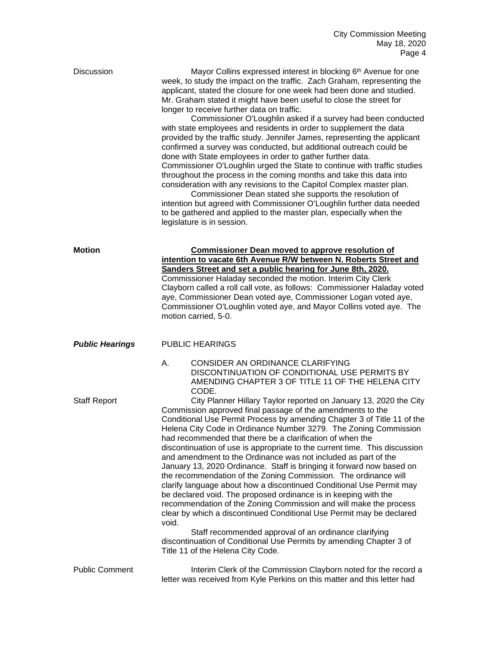| <b>Discussion</b>      | Mayor Collins expressed interest in blocking 6 <sup>th</sup> Avenue for one<br>week, to study the impact on the traffic. Zach Graham, representing the<br>applicant, stated the closure for one week had been done and studied.<br>Mr. Graham stated it might have been useful to close the street for<br>longer to receive further data on traffic.<br>Commissioner O'Loughlin asked if a survey had been conducted<br>with state employees and residents in order to supplement the data<br>provided by the traffic study. Jennifer James, representing the applicant<br>confirmed a survey was conducted, but additional outreach could be<br>done with State employees in order to gather further data.<br>Commissioner O'Loughlin urged the State to continue with traffic studies<br>throughout the process in the coming months and take this data into<br>consideration with any revisions to the Capitol Complex master plan.<br>Commissioner Dean stated she supports the resolution of<br>intention but agreed with Commissioner O'Loughlin further data needed<br>to be gathered and applied to the master plan, especially when the<br>legislature is in session.                                                                                         |
|------------------------|------------------------------------------------------------------------------------------------------------------------------------------------------------------------------------------------------------------------------------------------------------------------------------------------------------------------------------------------------------------------------------------------------------------------------------------------------------------------------------------------------------------------------------------------------------------------------------------------------------------------------------------------------------------------------------------------------------------------------------------------------------------------------------------------------------------------------------------------------------------------------------------------------------------------------------------------------------------------------------------------------------------------------------------------------------------------------------------------------------------------------------------------------------------------------------------------------------------------------------------------------------------------|
| <b>Motion</b>          | <b>Commissioner Dean moved to approve resolution of</b><br>intention to vacate 6th Avenue R/W between N. Roberts Street and<br>Sanders Street and set a public hearing for June 8th, 2020.<br>Commissioner Haladay seconded the motion. Interim City Clerk<br>Clayborn called a roll call vote, as follows: Commissioner Haladay voted<br>aye, Commissioner Dean voted aye, Commissioner Logan voted aye,<br>Commissioner O'Loughlin voted aye, and Mayor Collins voted aye. The<br>motion carried, 5-0.                                                                                                                                                                                                                                                                                                                                                                                                                                                                                                                                                                                                                                                                                                                                                               |
| <b>Public Hearings</b> | <b>PUBLIC HEARINGS</b>                                                                                                                                                                                                                                                                                                                                                                                                                                                                                                                                                                                                                                                                                                                                                                                                                                                                                                                                                                                                                                                                                                                                                                                                                                                 |
| <b>Staff Report</b>    | CONSIDER AN ORDINANCE CLARIFYING<br>А.<br>DISCONTINUATION OF CONDITIONAL USE PERMITS BY<br>AMENDING CHAPTER 3 OF TITLE 11 OF THE HELENA CITY<br>CODE.<br>City Planner Hillary Taylor reported on January 13, 2020 the City<br>Commission approved final passage of the amendments to the<br>Conditional Use Permit Process by amending Chapter 3 of Title 11 of the<br>Helena City Code in Ordinance Number 3279. The Zoning Commission<br>had recommended that there be a clarification of when the<br>discontinuation of use is appropriate to the current time. This discussion<br>and amendment to the Ordinance was not included as part of the<br>January 13, 2020 Ordinance. Staff is bringing it forward now based on<br>the recommendation of the Zoning Commission. The ordinance will<br>clarify language about how a discontinued Conditional Use Permit may<br>be declared void. The proposed ordinance is in keeping with the<br>recommendation of the Zoning Commission and will make the process<br>clear by which a discontinued Conditional Use Permit may be declared<br>void.<br>Staff recommended approval of an ordinance clarifying<br>discontinuation of Conditional Use Permits by amending Chapter 3 of<br>Title 11 of the Helena City Code. |
| <b>Public Comment</b>  | Interim Clerk of the Commission Clayborn noted for the record a<br>letter was received from Kyle Perkins on this matter and this letter had                                                                                                                                                                                                                                                                                                                                                                                                                                                                                                                                                                                                                                                                                                                                                                                                                                                                                                                                                                                                                                                                                                                            |